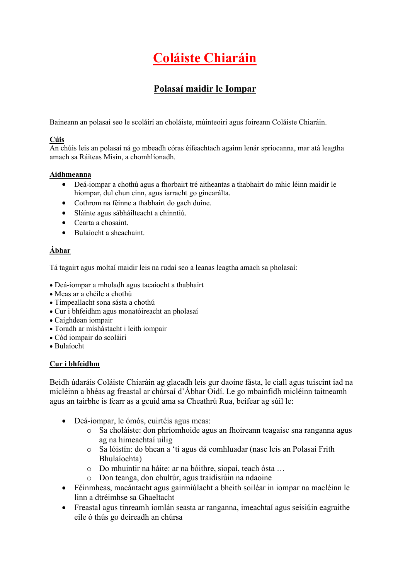# Polasaí maidir le Iompar

Baineann an polasaí seo le scoláirí an choláiste, múinteoirí agus foireann Coláiste Chiaráin.

# Cúis

An chúis leis an polasaí ná go mbeadh córas éifeachtach againn lenár spriocanna, mar atá leagtha amach sa Ráiteas Misin, a chomhlíonadh.

### Aidhmeanna

- Deá-iompar a chothú agus a fhorbairt tré aitheantas a thabhairt do mhic léinn maidir le hiompar, dul chun cinn, agus iarracht go ginearálta.
- Cothrom na féinne a thabhairt do gach duine.
- Sláinte agus sábháilteacht a chinntiú.
- Cearta a chosaint.
- Bulaíocht a sheachaint.

# Ábhar

Tá tagairt agus moltaí maidir leis na rudaí seo a leanas leagtha amach sa pholasaí:

- Deá-iompar a mholadh agus tacaíocht a thabhairt
- Meas ar a chéile a chothú
- Timpeallacht sona sásta a chothú
- Cur i bhfeidhm agus monatóireacht an pholasaí
- Caighdean iompair
- Toradh ar míshástacht i leith iompair
- Cód iompair do scoláiri
- Bulaíocht

## Cur i bhfeidhm

Beidh údaráis Coláiste Chiaráin ag glacadh leis gur daoine fásta, le ciall agus tuiscint iad na micléinn a bhéas ag freastal ar chúrsaí d'Ábhar Oidí. Le go mbainfidh micléinn taitneamh agus an tairbhe is fearr as a gcuid ama sa Cheathrú Rua, beifear ag súil le:

- Deá-iompar, le ómós, cuirtéis agus meas:
	- o Sa choláiste: don phríomhoide agus an fhoireann teagaisc sna ranganna agus ag na himeachtaí uilig
	- o Sa lóistín: do bhean a 'tí agus dá comhluadar (nasc leis an Polasaí Frith Bhulaíochta)
	- o Do mhuintir na háite: ar na bóithre, siopaí, teach ósta …
	- o Don teanga, don chultúr, agus traidisiúin na ndaoine
- Féinmheas, macántacht agus gairmiúlacht a bheith soiléar in iompar na macléinn le linn a dtréimhse sa Ghaeltacht
- Freastal agus tinreamh iomlán seasta ar ranganna, imeachtaí agus seisiúin eagraithe eile ó thús go deireadh an chúrsa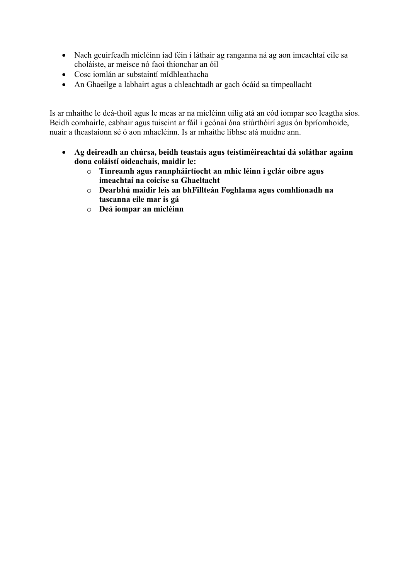- Nach gcuirfeadh micléinn iad féin i láthair ag ranganna ná ag aon imeachtaí eile sa choláiste, ar meisce nó faoi thionchar an óil
- Cosc iomlán ar substaintí mídhleathacha
- An Ghaeilge a labhairt agus a chleachtadh ar gach ócáid sa timpeallacht

Is ar mhaithe le deá-thoil agus le meas ar na micléinn uilig atá an cód iompar seo leagtha síos. Beidh comhairle, cabhair agus tuiscint ar fáil i gcónaí óna stiúrthóirí agus ón bpríomhoide, nuair a theastaíonn sé ó aon mhacléinn. Is ar mhaithe libhse atá muidne ann.

- Ag deireadh an chúrsa, beidh teastais agus teistiméireachtaí dá soláthar againn dona coláistí oideachais, maidir le:
	- o Tinreamh agus rannpháirtíocht an mhic léinn i gclár oibre agus imeachtaí na coicíse sa Ghaeltacht
	- o Dearbhú maidir leis an bhFillteán Foghlama agus comhlíonadh na tascanna eile mar is gá
	- o Deá iompar an micléinn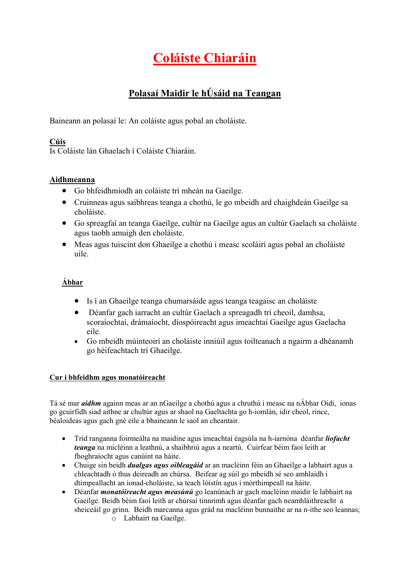# Polasaí Maidir le hÚsáid na Teangan

Baineann an polasaí le: An coláiste agus pobal an choláiste.

# Cúis

Is Coláiste lán Ghaelach í Coláiste Chiaráin.

# Aidhmeanna

- Go bhfeidhmíodh an coláiste trí mheán na Gaeilge.
- Cruinneas agus saibhreas teanga a chothú, le go mbeidh ard chaighdeán Gaeilge sa choláiste.
- Go spreagfaí an teanga Gaeilge, cultúr na Gaeilge agus an cultúr Gaelach sa choláiste agus taobh amuigh den choláiste.
- Meas agus tuiscint don Ghaeilge a chothú i measc scoláirí agus pobal an choláiste uile.

# Ábhar

- Is í an Ghaeilge teanga chumarsáide agus teanga teagaisc an choláiste
- Déanfar gach iarracht an cultúr Gaelach a spreagadh trí cheoil, damhsa, scoraíochtaí, drámaíocht, díospóireacht agus imeachtaí Gaeilge agus Gaelacha eile.
- Go mbeidh múinteoirí an choláiste inniúil agus toilteanach a ngairm a dhéanamh go héifeachtach trí Ghaeilge.

## Cur i bhfeidhm agus monatóireacht

Tá sé mar aidhm againn meas ar an nGaeilge a chothú agus a chruthú i measc na nÁbhar Oidí, ionas go gcuirfidh siad aithne ar chultúr agus ar shaol na Gaeltachta go h-iomlán, idir cheol, rince, béaloideas agus gach gné eile a bhaineann le saol an cheantair.

- Tríd ranganna foirmeálta na maidine agus imeachtaí éagsúla na h-iarnóna déanfar *líofacht* teanga na micléinn a leathnú, a shaibhriú agus a neartú. Cuirfear béim faoi leith ar fhoghraíocht agus canúint na háite.
- Chuige sin beidh dualgas agus oibleagáid ar an macléinn féin an Ghaeilge a labhairt agus a chleachtadh ó thus deireadh an chúrsa. Beifear ag súil go mbeidh sé seo amhlaidh i dtimpeallacht an ionad-choláiste, sa teach lóistín agus i mórthimpeall na háite.
- Déanfar monatóireacht agus measúnú go leanúnach ar gach macléinn maidir le labhairt na Gaeilge. Beidh béim faoi leith ar chúrsaí tinnrimh agus déanfar gach neamhláithreacht a sheiceáil go grinn. Beidh marcanna agus grád na macléinn bunnaithe ar na n-ithe seo leannas;
	- o Labhairt na Gaeilge.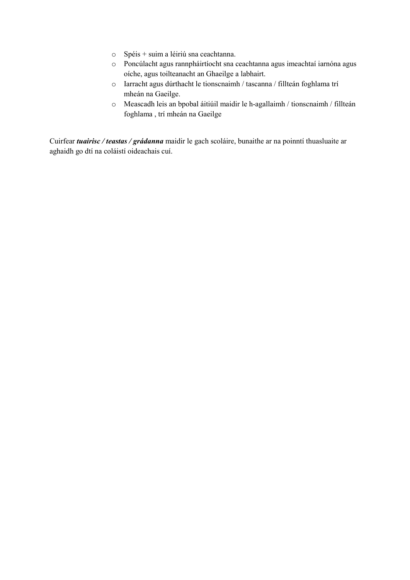- o Spéis + suim a léiriú sna ceachtanna.
- o Poncúlacht agus rannpháirtíocht sna ceachtanna agus imeachtaí iarnóna agus oíche, agus toilteanacht an Ghaeilge a labhairt.
- o Iarracht agus dúrthacht le tionscnaimh / tascanna / fillteán foghlama trí mheán na Gaeilge.
- o Meascadh leis an bpobal áitiúil maidir le h-agallaimh / tionscnaimh / fillteán foghlama , trí mheán na Gaeilge

Cuirfear tuairisc / teastas / grádanna maidir le gach scoláire, bunaithe ar na poinntí thuasluaite ar aghaidh go dtí na coláistí oideachais cuí.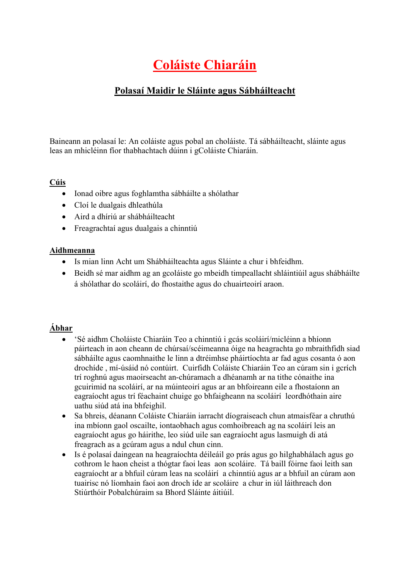# Polasaí Maidir le Sláinte agus Sábháilteacht

Baineann an polasaí le: An coláiste agus pobal an choláiste. Tá sábháilteacht, sláinte agus leas an mhicléinn fíor thabhachtach dúinn i gColáiste Chiaráin.

# Cúis

- Ionad oibre agus foghlamtha sábháilte a shólathar
- Cloí le dualgais dhleathúla
- Aird a dhíriú ar shábháilteacht
- Freagrachtaí agus dualgais a chinntiú

## Aidhmeanna

- Is mian linn Acht um Shábháilteachta agus Sláinte a chur i bhfeidhm.
- Beidh sé mar aidhm ag an gcoláiste go mbeidh timpeallacht shláintiúil agus shábháilte á shólathar do scoláirí, do fhostaithe agus do chuairteoirí araon.

# Ábhar

- 'Sé aidhm Choláiste Chiaráin Teo a chinntiú i gcás scoláirí/micléinn a bhíonn páirteach in aon cheann de chúrsaí/scéimeanna óige na heagrachta go mbraithfidh siad sábháilte agus caomhnaithe le linn a dtréimhse pháirtíochta ar fad agus cosanta ó aon drochíde , mí-úsáid nó contúirt. Cuirfidh Coláiste Chiaráin Teo an cúram sin i gcrích trí roghnú agus maoirseacht an-chúramach a dhéanamh ar na tithe cónaithe ina gcuirimid na scoláirí, ar na múinteoirí agus ar an bhfoireann eile a fhostaíonn an eagraíocht agus trí féachaint chuige go bhfaigheann na scoláirí leordhóthain aire uathu siúd atá ina bhfeighil.
- Sa bhreis, déanann Coláiste Chiaráin iarracht díograiseach chun atmaisféar a chruthú ina mbíonn gaol oscailte, iontaobhach agus comhoibreach ag na scoláirí leis an eagraíocht agus go háirithe, leo siúd uile san eagraíocht agus lasmuigh di atá freagrach as a gcúram agus a ndul chun cinn.
- Is é polasaí daingean na heagraíochta déileáil go prás agus go hilghabhálach agus go cothrom le haon cheist a thógtar faoi leas aon scoláire. Tá baill fóirne faoi leith san eagraíocht ar a bhfuil cúram leas na scoláirí a chinntiú agus ar a bhfuil an cúram aon tuairisc nó líomhain faoi aon droch íde ar scoláire a chur in iúl láithreach don Stiúrthóir Pobalchúraim sa Bhord Sláinte áitiúil.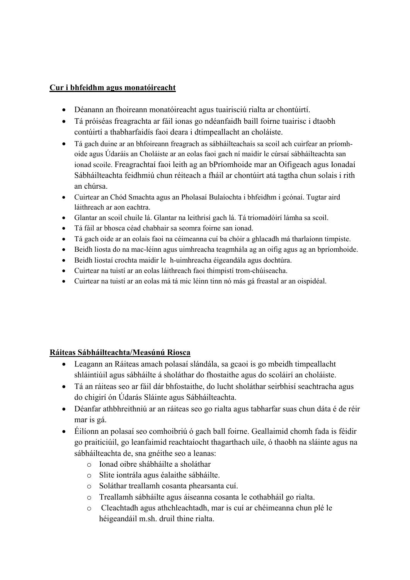# Cur i bhfeidhm agus monatóireacht

- Déanann an fhoireann monatóireacht agus tuairisciú rialta ar chontúirtí.
- Tá próiséas freagrachta ar fáil ionas go ndéanfaidh baill foirne tuairisc i dtaobh contúirtí a thabharfaidís faoi deara i dtimpeallacht an choláiste.
- Tá gach duine ar an bhfoireann freagrach as sábháilteachais sa scoil ach cuirfear an príomhoide agus Údaráis an Choláiste ar an eolas faoi gach ní maidir le cúrsaí sábháilteachta san ionad scoile. Freagrachtaí faoi leith ag an bPríomhoide mar an Oifigeach agus Ionadaí Sábháilteachta feidhmiú chun réiteach a fháil ar chontúirt atá tagtha chun solais i rith an chúrsa.
- Cuirtear an Chód Smachta agus an Pholasaí Bulaíochta i bhfeidhm i gcónaí. Tugtar aird láithreach ar aon eachtra.
- Glantar an scoil chuile lá. Glantar na leithrisí gach lá. Tá triomadóirí lámha sa scoil.
- Tá fáil ar bhosca céad chabhair sa seomra foirne san ionad.
- Tá gach oide ar an eolais faoi na céimeanna cuí ba chóir a ghlacadh má tharlaíonn timpiste.
- Beidh liosta do na mac-léinn agus uimhreacha teagmhála ag an oifig agus ag an bpríomhoide.
- Beidh liostaí crochta maidir le h-uimhreacha éigeandála agus dochtúra.
- Cuirtear na tuistí ar an eolas láithreach faoi thimpistí trom-chúiseacha.
- Cuirtear na tuistí ar an eolas má tá mic léinn tinn nó más gá freastal ar an oispidéal.

# Ráiteas Sábháilteachta/Measúnú Riosca

- Leagann an Ráiteas amach polasaí slándála, sa gcaoi is go mbeidh timpeallacht shláintiúil agus sábháilte á sholáthar do fhostaithe agus do scoláirí an choláiste.
- Tá an ráiteas seo ar fáil dár bhfostaithe, do lucht sholáthar seirbhisí seachtracha agus do chigirí ón Údarás Sláinte agus Sábháilteachta.
- Déanfar athbhreithniú ar an ráiteas seo go rialta agus tabharfar suas chun dáta é de réir mar is gá.
- Éilíonn an polasaí seo comhoibriú ó gach ball foirne. Geallaimid chomh fada is féidir go praiticiúil, go leanfaimid reachtaíocht thagarthach uile, ó thaobh na sláinte agus na sábháilteachta de, sna gnéithe seo a leanas:
	- o Ionad oibre shábháilte a sholáthar
	- o Slite iontrála agus éalaithe sábháilte.
	- o Soláthar treallamh cosanta phearsanta cuí.
	- o Treallamh sábháilte agus áiseanna cosanta le cothabháil go rialta.
	- o Cleachtadh agus athchleachtadh, mar is cuí ar chéimeanna chun plé le héigeandáil m.sh. druil thine rialta.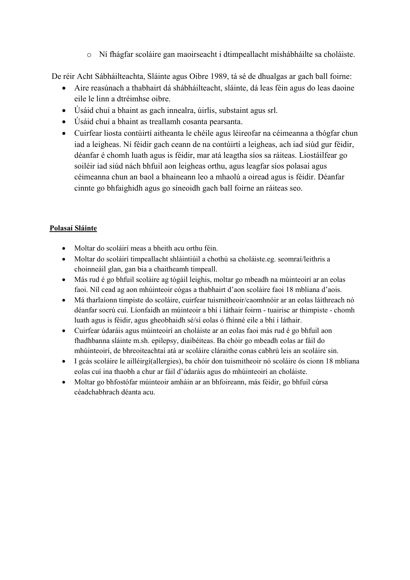o Ní fhágfar scoláire gan maoirseacht i dtimpeallacht míshábháilte sa choláiste.

De réir Acht Sábháilteachta, Sláinte agus Oibre 1989, tá sé de dhualgas ar gach ball foirne:

- Aire reasúnach a thabhairt dá shábháilteacht, sláinte, dá leas féin agus do leas daoine eile le linn a dtréimhse oibre.
- Úsáid chuí a bhaint as gach innealra, úirlis, substaint agus srl.
- Úsáid chuí a bhaint as treallamh cosanta pearsanta.
- Cuirfear liosta contúirtí aitheanta le chéile agus léireofar na céimeanna a thógfar chun iad a leigheas. Ní féidir gach ceann de na contúirtí a leigheas, ach iad siúd gur féidir, déanfar é chomh luath agus is féidir, mar atá leagtha síos sa ráiteas. Liostáilfear go soiléir iad siúd nách bhfuil aon leigheas orthu, agus leagfar síos polasaí agus céimeanna chun an baol a bhaineann leo a mhaolú a oiread agus is féidir. Déanfar cinnte go bhfaighidh agus go síneoidh gach ball foirne an ráiteas seo.

## Polasaí Sláinte

- Moltar do scoláirí meas a bheith acu orthu féin.
- Moltar do scoláirí timpeallacht shláintiúil a chothú sa choláiste.eg. seomraí/leithris a choinneáil glan, gan bia a chaitheamh timpeall.
- Más rud é go bhfuil scoláire ag tógáil leighis, moltar go mbeadh na múinteoirí ar an eolas faoi. Níl cead ag aon mhúinteoir cógas a thabhairt d'aon scoláire faoi 18 mbliana d'aois.
- Má tharlaíonn timpiste do scoláire, cuirfear tuismitheoir/caomhnóir ar an eolas láithreach nó déanfar socrú cuí. Líonfaidh an múinteoir a bhí i láthair foirm - tuairisc ar thimpiste - chomh luath agus is féidir, agus gheobhaidh sé/sí eolas ó fhínné eile a bhí i láthair.
- Cuirfear údaráis agus múinteoirí an choláiste ar an eolas faoi más rud é go bhfuil aon fhadhbanna sláinte m.sh. epilepsy, diaibéiteas. Ba chóir go mbeadh eolas ar fáil do mhúinteoirí, de bhreoiteachtaí atá ar scoláire cláraithe conas cabhrú leis an scoláire sin.
- I gcás scoláire le ailléirgí(allergies), ba chóir don tuismitheoir nó scoláire ós cionn 18 mbliana eolas cuí ina thaobh a chur ar fáil d'údaráis agus do mhúinteoirí an choláiste.
- Moltar go bhfostófar múinteoir amháin ar an bhfoireann, más féidir, go bhfuil cúrsa céadchabhrach déanta acu.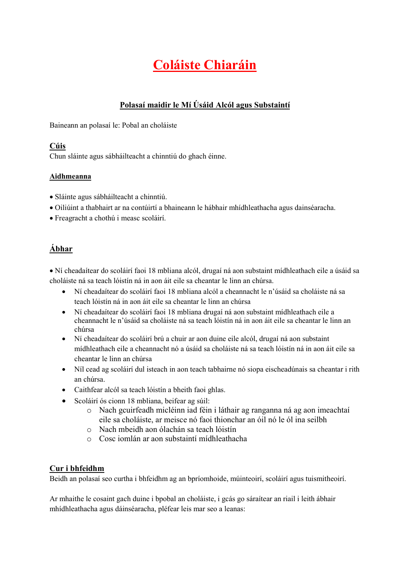# Polasaí maidir le Mí Úsáid Alcól agus Substaintí

Baineann an polasaí le: Pobal an choláiste

#### Cúis

Chun sláinte agus sábháilteacht a chinntiú do ghach éinne.

#### Aidhmeanna

- Sláinte agus sábháilteacht a chinntiú.
- Oiliúint a thabhairt ar na contúirtí a bhaineann le hábhair mhídhleathacha agus dainséaracha.
- Freagracht a chothú i measc scoláirí.

# Ábhar

 Ní cheadaítear do scoláirí faoi 18 mbliana alcól, drugaí ná aon substaint mídhleathach eile a úsáid sa choláiste ná sa teach lóistín ná in aon áit eile sa cheantar le linn an chúrsa.

- Ní cheadaítear do scoláirí faoi 18 mbliana alcól a cheannacht le n'úsáid sa choláiste ná sa teach lóistín ná in aon áit eile sa cheantar le linn an chúrsa
- Ní cheadaítear do scoláirí faoi 18 mbliana drugaí ná aon substaint mídhleathach eile a cheannacht le n'úsáid sa choláiste ná sa teach lóistín ná in aon áit eile sa cheantar le linn an chúrsa
- Ní cheadaítear do scoláirí brú a chuir ar aon duine eile alcól, drugaí ná aon substaint mídhleathach eile a cheannacht nó a úsáid sa choláiste ná sa teach lóistín ná in aon áit eile sa cheantar le linn an chúrsa
- Níl cead ag scoláirí dul isteach in aon teach tabhairne nó siopa eischeadúnais sa cheantar i rith an chúrsa.
- Caithfear alcól sa teach lóistín a bheith faoi ghlas.
- Scoláirí ós cionn 18 mbliana, beifear ag súil:
	- o Nach gcuirfeadh micléinn iad féin i láthair ag ranganna ná ag aon imeachtaí eile sa choláiste, ar meisce nó faoi thionchar an óil nó le ól ina seilbh
	- o Nach mbeidh aon ólachán sa teach lóistín
	- o Cosc iomlán ar aon substaintí mídhleathacha

## Cur i bhfeidhm

Beidh an polasaí seo curtha i bhfeidhm ag an bpríomhoide, múinteoirí, scoláirí agus tuismitheoirí.

Ar mhaithe le cosaint gach duine i bpobal an choláiste, i gcás go sáraítear an riail i leith ábhair mhídhleathacha agus dáinséaracha, pléfear leis mar seo a leanas: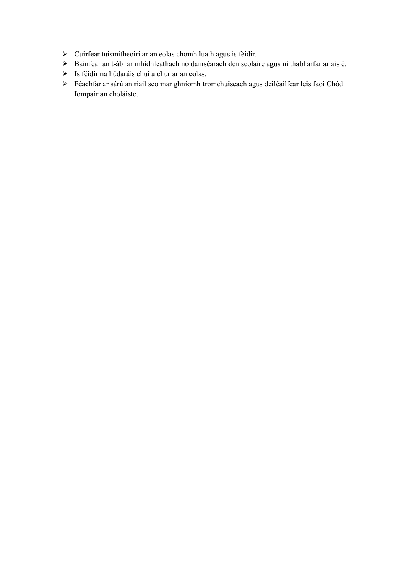- $\triangleright$  Cuirfear tuismitheoirí ar an eolas chomh luath agus is féidir.
- Bainfear an t-ábhar mhídhleathach nó dainséarach den scoláire agus ní thabharfar ar ais é.
- Is féidir na húdaráis chuí a chur ar an eolas.
- Féachfar ar sárú an riail seo mar ghníomh tromchúiseach agus deiléailfear leis faoi Chód Iompair an choláiste.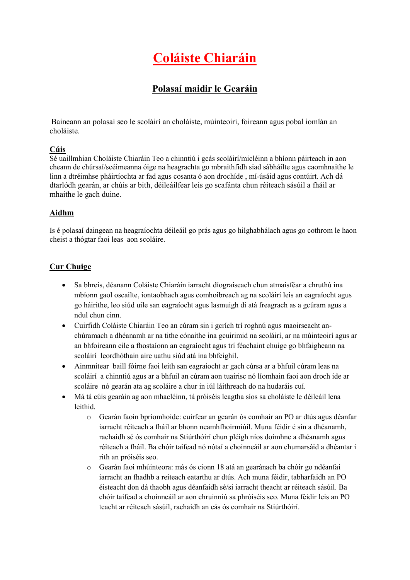# Polasaí maidir le Gearáin

Baineann an polasaí seo le scoláirí an choláiste, múinteoirí, foireann agus pobal iomlán an choláiste.

### Cúis

Sé uaillmhian Choláiste Chiaráin Teo a chinntiú i gcás scoláirí/micléinn a bhíonn páirteach in aon cheann de chúrsaí/scéimeanna óige na heagrachta go mbraithfidh siad sábháilte agus caomhnaithe le linn a dtréimhse pháirtíochta ar fad agus cosanta ó aon drochíde , mí-úsáid agus contúirt. Ach dá dtarlódh gearán, ar chúis ar bith, déileáilfear leis go scafánta chun réiteach sásúil a fháil ar mhaithe le gach duine.

#### Aidhm

Is é polasaí daingean na heagraíochta déileáil go prás agus go hilghabhálach agus go cothrom le haon cheist a thógtar faoi leas aon scoláire.

### Cur Chuige

- Sa bhreis, déanann Coláiste Chiaráin iarracht díograiseach chun atmaisféar a chruthú ina mbíonn gaol oscailte, iontaobhach agus comhoibreach ag na scoláirí leis an eagraíocht agus go háirithe, leo siúd uile san eagraíocht agus lasmuigh di atá freagrach as a gcúram agus a ndul chun cinn.
- Cuirfidh Coláiste Chiaráin Teo an cúram sin i gcrích trí roghnú agus maoirseacht anchúramach a dhéanamh ar na tithe cónaithe ina gcuirimid na scoláirí, ar na múinteoirí agus ar an bhfoireann eile a fhostaíonn an eagraíocht agus trí féachaint chuige go bhfaigheann na scoláirí leordhóthain aire uathu siúd atá ina bhfeighil.
- Ainmnítear baill fóirne faoi leith san eagraíocht ar gach cúrsa ar a bhfuil cúram leas na scoláirí a chinntiú agus ar a bhfuil an cúram aon tuairisc nó líomhain faoi aon droch íde ar scoláire nó gearán ata ag scoláire a chur in iúl láithreach do na hudaráis cuí.
- Má tá cúis gearáin ag aon mhacléinn, tá próiséis leagtha síos sa choláiste le déileáil lena leithid.
	- o Gearán faoin bpríomhoide: cuirfear an gearán ós comhair an PO ar dtús agus déanfar iarracht réiteach a fháil ar bhonn neamhfhoirmiúil. Muna féidir é sin a dhéanamh, rachaidh sé ós comhair na Stiúrthóirí chun pléigh níos doimhne a dhéanamh agus réiteach a fháil. Ba chóir taifead nó nótaí a choinneáil ar aon chumarsáid a dhéantar i rith an próiséis seo.
	- o Gearán faoi mhúinteora: más ós cionn 18 atá an gearánach ba chóir go ndéanfaí iarracht an fhadhb a reiteach eatarthu ar dtús. Ach muna féidir, tabharfaidh an PO éisteacht don dá thaobh agus déanfaidh sé/sí iarracht theacht ar réiteach sásúil. Ba chóir taifead a choinneáil ar aon chruinniú sa phróiséis seo. Muna féidir leis an PO teacht ar réiteach sásúíl, rachaidh an cás ós comhair na Stiúrthóirí.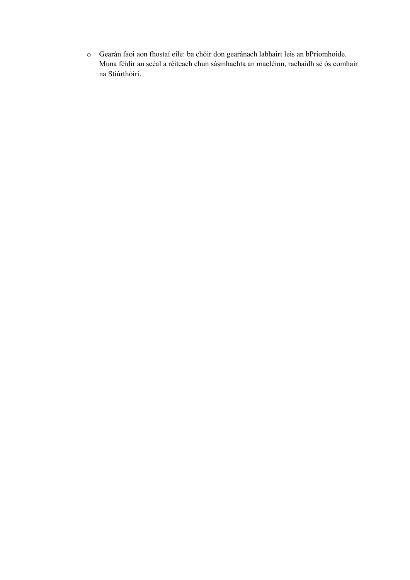o Gearán faoi aon fhostaí eile: ba chóir don gearánach labhairt leis an bPríomhoide. Muna féidir an scéal a réiteach chun sásmhachta an macléinn, rachaidh sé ós comhair na Stiúrthóirí.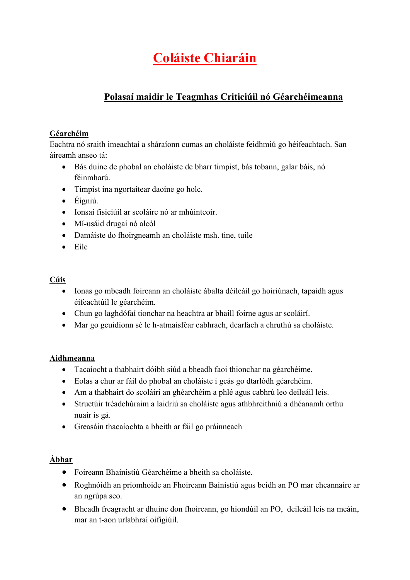# Polasaí maidir le Teagmhas Criticiúil nó Géarchéimeanna

# Géarchéim

Eachtra nó sraith imeachtaí a sháraíonn cumas an choláiste feidhmiú go héifeachtach. San áireamh anseo tá:

- Bás duine de phobal an choláiste de bharr timpist, bás tobann, galar báis, nó féinmharú.
- Timpist ina ngortaítear daoine go holc.
- Éigniú.
- Ionsaí fisiciúil ar scoláire nó ar mhúinteoir.
- Mí-usáid drugaí nó alcól
- Damáiste do fhoirgneamh an choláiste msh. tine, tuile
- Eile

# Cúis

- Ionas go mbeadh foireann an choláiste ábalta déileáil go hoiriúnach, tapaidh agus éifeachtúil le géarchéim.
- Chun go laghdófaí tionchar na heachtra ar bhaill foirne agus ar scoláirí.
- Mar go gcuidíonn sé le h-atmaisféar cabhrach, dearfach a chruthú sa choláiste.

# Aidhmeanna

- Tacaíocht a thabhairt dóibh siúd a bheadh faoi thionchar na géarchéime.
- Eolas a chur ar fáil do phobal an choláiste i gcás go dtarlódh géarchéim.
- Am a thabhairt do scoláirí an ghéarchéim a phlé agus cabhrú leo deileáil leis.
- Structúir tréadchúraim a laidriú sa choláiste agus athbhreithniú a dhéanamh orthu nuair is gá.
- Greasáin thacaíochta a bheith ar fáil go práinneach

# Ábhar

- Foireann Bhainistiú Géarchéime a bheith sa choláiste.
- Roghnóidh an príomhoide an Fhoireann Bainistiú agus beidh an PO mar cheannaire ar an ngrúpa seo.
- Bheadh freagracht ar dhuine don fhoireann, go hiondúil an PO, deileáil leis na meáin, mar an t-aon urlabhraí oifigiúil.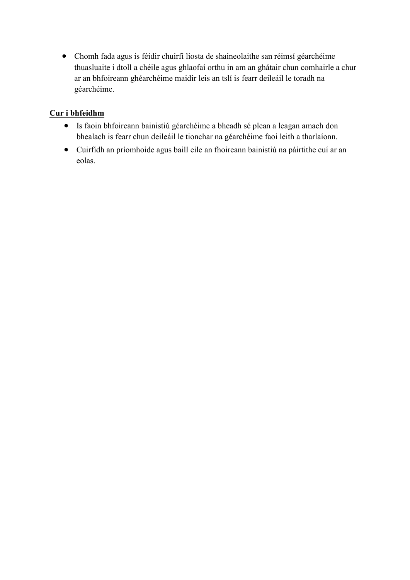Chomh fada agus is féidir chuirfí liosta de shaineolaithe san réimsí géarchéime thuasluaite i dtoll a chéile agus ghlaofaí orthu in am an ghátair chun comhairle a chur ar an bhfoireann ghéarchéime maidir leis an tslí is fearr deileáil le toradh na géarchéime.

# Cur i bhfeidhm

- Is faoin bhfoireann bainistiú géarchéime a bheadh sé plean a leagan amach don bhealach is fearr chun deileáil le tionchar na géarchéime faoi leith a tharlaíonn.
- Cuirfidh an príomhoide agus baill eile an fhoireann bainistiú na páirtithe cuí ar an eolas.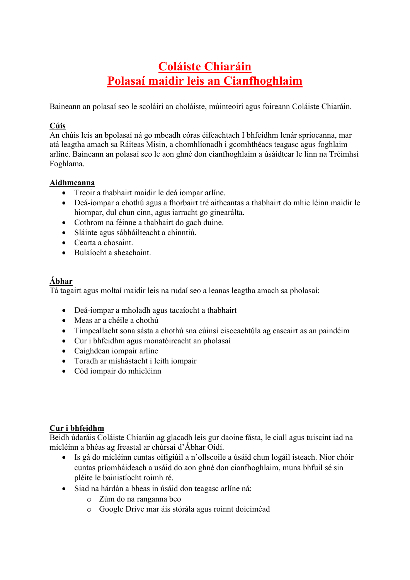# Coláiste Chiaráin Polasaí maidir leis an Cianfhoghlaim

Baineann an polasaí seo le scoláirí an choláiste, múinteoirí agus foireann Coláiste Chiaráin.

# Cúis

An chúis leis an bpolasaí ná go mbeadh córas éifeachtach I bhfeidhm lenár spriocanna, mar atá leagtha amach sa Ráiteas Misin, a chomhlíonadh i gcomhthéacs teagasc agus foghlaim arlíne. Baineann an polasaí seo le aon ghné don cianfhoghlaim a úsáidtear le linn na Tréimhsí Foghlama.

## Aidhmeanna

- Treoir a thabhairt maidir le deá iompar arlíne.
- Deá-iompar a chothú agus a fhorbairt tré aitheantas a thabhairt do mhic léinn maidir le hiompar, dul chun cinn, agus iarracht go ginearálta.
- Cothrom na féinne a thabhairt do gach duine.
- Sláinte agus sábháilteacht a chinntiú.
- Cearta a chosaint.
- Bulaíocht a sheachaint.

# Ábhar

Tá tagairt agus moltaí maidir leis na rudaí seo a leanas leagtha amach sa pholasaí:

- Deá-iompar a mholadh agus tacaíocht a thabhairt
- Meas ar a chéile a chothú
- Timpeallacht sona sásta a chothú sna cúinsí eisceachtúla ag eascairt as an paindéim
- Cur i bhfeidhm agus monatóireacht an pholasaí
- Caighdean iompair arlíne
- Toradh ar míshástacht i leith iompair
- Cód iompair do mhicléinn

## Cur i bhfeidhm

Beidh údaráis Coláiste Chiaráin ag glacadh leis gur daoine fásta, le ciall agus tuiscint iad na micléinn a bhéas ag freastal ar chúrsaí d'Ábhar Oidí.

- Is gá do micléinn cuntas oifigiúil a n'ollscoile a úsáid chun logáil isteach. Níor chóir cuntas príomháideach a usáid do aon ghné don cianfhoghlaim, muna bhfuil sé sin pléite le bainistíocht roimh ré.
- Siad na hárdán a bheas in úsáid don teagasc arlíne ná:
	- o Zúm do na ranganna beo
	- o Google Drive mar áis stórála agus roinnt doiciméad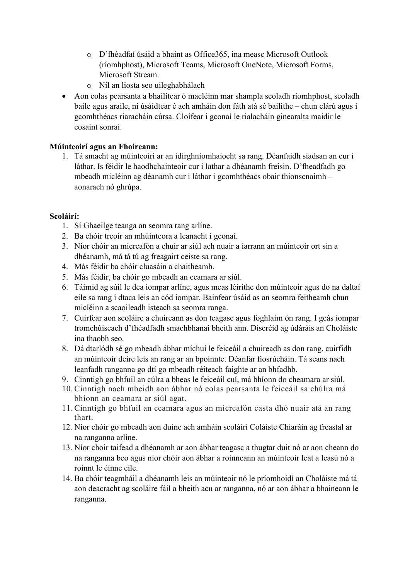- o D'fhéadfaí úsáid a bhaint as Office365, ina measc Microsoft Outlook (ríomhphost), Microsoft Teams, Microsoft OneNote, Microsoft Forms, Microsoft Stream.
- o Níl an liosta seo uileghabhálach
- Aon eolas pearsanta a bhailítear ó macléinn mar shampla seoladh ríomhphost, seoladh baile agus araile, ní úsáidtear é ach amháin don fáth atá sé bailithe – chun clárú agus i gcomhthéacs riaracháin cúrsa. Cloífear i gconaí le rialacháin ginearalta maidir le cosaint sonraí.

# Múinteoirí agus an Fhoireann:

1. Tá smacht ag múinteoirí ar an idirghníomhaíocht sa rang. Déanfaidh siadsan an cur i láthar. Is féidir le haodhchainteoir cur i lathar a dhéanamh freisin. D'fheadfadh go mbeadh micléinn ag déanamh cur i láthar i gcomhthéacs obair thionscnaimh – aonarach nó ghrúpa.

# Scoláirí:

- 1. Sí Ghaeilge teanga an seomra rang arlíne.
- 2. Ba chóir treoir an mhúinteora a leanacht i gconaí.
- 3. Níor chóir an micreafón a chuir ar siúl ach nuair a iarrann an múinteoir ort sin a dhéanamh, má tá tú ag freagairt ceiste sa rang.
- 4. Más féidir ba chóir cluasáin a chaitheamh.
- 5. Más féidir, ba chóir go mbeadh an ceamara ar siúl.
- 6. Táimid ag súil le dea iompar arlíne, agus meas léirithe don múinteoir agus do na daltaí eile sa rang i dtaca leis an cód iompar. Bainfear úsáid as an seomra feitheamh chun micléinn a scaoileadh isteach sa seomra ranga.
- 7. Cuirfear aon scoláire a chuireann as don teagasc agus foghlaim ón rang. I gcás iompar tromchúiseach d'fhéadfadh smachbhanaí bheith ann. Discréid ag údáráis an Choláiste ina thaobh seo.
- 8. Dá dtarlódh sé go mbeadh ábhar míchuí le feiceáil a chuireadh as don rang, cuirfidh an múinteoir deire leis an rang ar an bpoinnte. Déanfar fiosrúcháin. Tá seans nach leanfadh ranganna go dtí go mbeadh réiteach faighte ar an bhfadhb.
- 9. Cinntigh go bhfuil an cúlra a bheas le feiceáil cuí, má bhíonn do cheamara ar siúl.
- 10. Cinntigh nach mbeidh aon ábhar nó eolas pearsanta le feiceáil sa chúlra má bhíonn an ceamara ar siúl agat.
- 11. Cinntigh go bhfuil an ceamara agus an micreafón casta dhó nuair atá an rang thart.
- 12. Níor chóir go mbeadh aon duine ach amháin scoláirí Coláiste Chiaráin ag freastal ar na ranganna arlíne.
- 13. Níor choir taifead a dhéanamh ar aon ábhar teagasc a thugtar duit nó ar aon cheann do na ranganna beo agus níor chóir aon ábhar a roinneann an múinteoir leat a leasú nó a roinnt le éinne eile.
- 14. Ba chóir teagmháil a dhéanamh leis an múinteoir nó le príomhoidí an Choláiste má tá aon deacracht ag scoláire fáil a bheith acu ar ranganna, nó ar aon ábhar a bhaineann le ranganna.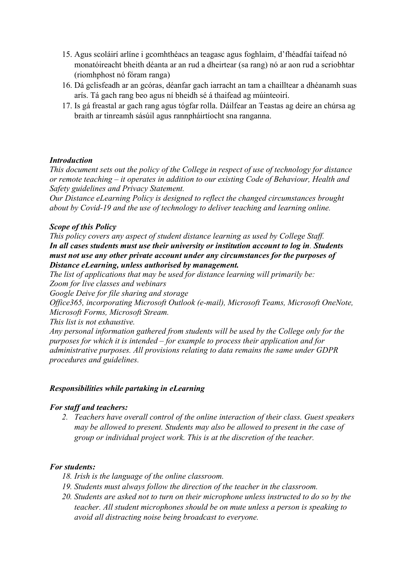- 15. Agus scoláirí arlíne i gcomhthéacs an teagasc agus foghlaim, d'fhéadfaí taifead nó monatóireacht bheith déanta ar an rud a dheirtear (sa rang) nó ar aon rud a scriobhtar (riomhphost nó fóram ranga)
- 16. Dá gclisfeadh ar an gcóras, déanfar gach iarracht an tam a chailltear a dhéanamh suas arís. Tá gach rang beo agus ní bheidh sé á thaifead ag múinteoirí.
- 17. Is gá freastal ar gach rang agus tógfar rolla. Dáilfear an Teastas ag deire an chúrsa ag braith ar tinreamh sásúil agus rannpháirtíocht sna ranganna.

### Introduction

This document sets out the policy of the College in respect of use of technology for distance or remote teaching – it operates in addition to our existing Code of Behaviour, Health and Safety guidelines and Privacy Statement.

Our Distance eLearning Policy is designed to reflect the changed circumstances brought about by Covid-19 and the use of technology to deliver teaching and learning online.

#### Scope of this Policy

This policy covers any aspect of student distance learning as used by College Staff. In all cases students must use their university or institution account to log in. Students must not use any other private account under any circumstances for the purposes of Distance eLearning, unless authorised by management.

The list of applications that may be used for distance learning will primarily be:

Zoom for live classes and webinars

Google Deive for file sharing and storage

Office365, incorporating Microsoft Outlook (e-mail), Microsoft Teams, Microsoft OneNote, Microsoft Forms, Microsoft Stream.

This list is not exhaustive.

Any personal information gathered from students will be used by the College only for the purposes for which it is intended – for example to process their application and for administrative purposes. All provisions relating to data remains the same under GDPR procedures and guidelines.

## Responsibilities while partaking in eLearning

## For staff and teachers:

2. Teachers have overall control of the online interaction of their class. Guest speakers may be allowed to present. Students may also be allowed to present in the case of group or individual project work. This is at the discretion of the teacher.

## For students:

- 18. Irish is the language of the online classroom.
- 19. Students must always follow the direction of the teacher in the classroom.
- 20. Students are asked not to turn on their microphone unless instructed to do so by the teacher. All student microphones should be on mute unless a person is speaking to avoid all distracting noise being broadcast to everyone.